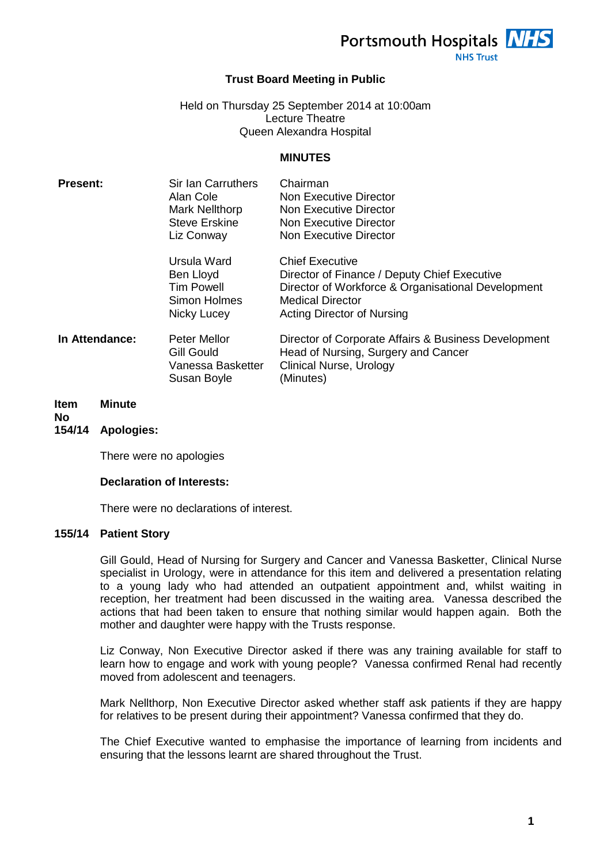Portsmouth Hospitals NHS

**NHS Trust** 

### **Trust Board Meeting in Public**

Held on Thursday 25 September 2014 at 10:00am Lecture Theatre Queen Alexandra Hospital

#### **MINUTES**

| <b>Present:</b> | Sir Ian Carruthers<br>Alan Cole<br><b>Mark Nellthorp</b><br><b>Steve Erskine</b><br>Liz Conway | Chairman<br>Non Executive Director<br>Non Executive Director<br>Non Executive Director<br>Non Executive Director                                                                      |
|-----------------|------------------------------------------------------------------------------------------------|---------------------------------------------------------------------------------------------------------------------------------------------------------------------------------------|
|                 | Ursula Ward<br>Ben Lloyd<br><b>Tim Powell</b><br>Simon Holmes<br>Nicky Lucey                   | <b>Chief Executive</b><br>Director of Finance / Deputy Chief Executive<br>Director of Workforce & Organisational Development<br><b>Medical Director</b><br>Acting Director of Nursing |
| In Attendance:  | <b>Peter Mellor</b><br><b>Gill Gould</b><br>Vanessa Basketter<br>Susan Boyle                   | Director of Corporate Affairs & Business Development<br>Head of Nursing, Surgery and Cancer<br><b>Clinical Nurse, Urology</b><br>(Minutes)                                            |

#### **Item Minute**

# **No**

### **154/14 Apologies:**

There were no apologies

#### **Declaration of Interests:**

There were no declarations of interest.

#### **155/14 Patient Story**

Gill Gould, Head of Nursing for Surgery and Cancer and Vanessa Basketter, Clinical Nurse specialist in Urology, were in attendance for this item and delivered a presentation relating to a young lady who had attended an outpatient appointment and, whilst waiting in reception, her treatment had been discussed in the waiting area. Vanessa described the actions that had been taken to ensure that nothing similar would happen again. Both the mother and daughter were happy with the Trusts response.

Liz Conway, Non Executive Director asked if there was any training available for staff to learn how to engage and work with young people? Vanessa confirmed Renal had recently moved from adolescent and teenagers.

Mark Nellthorp, Non Executive Director asked whether staff ask patients if they are happy for relatives to be present during their appointment? Vanessa confirmed that they do.

The Chief Executive wanted to emphasise the importance of learning from incidents and ensuring that the lessons learnt are shared throughout the Trust.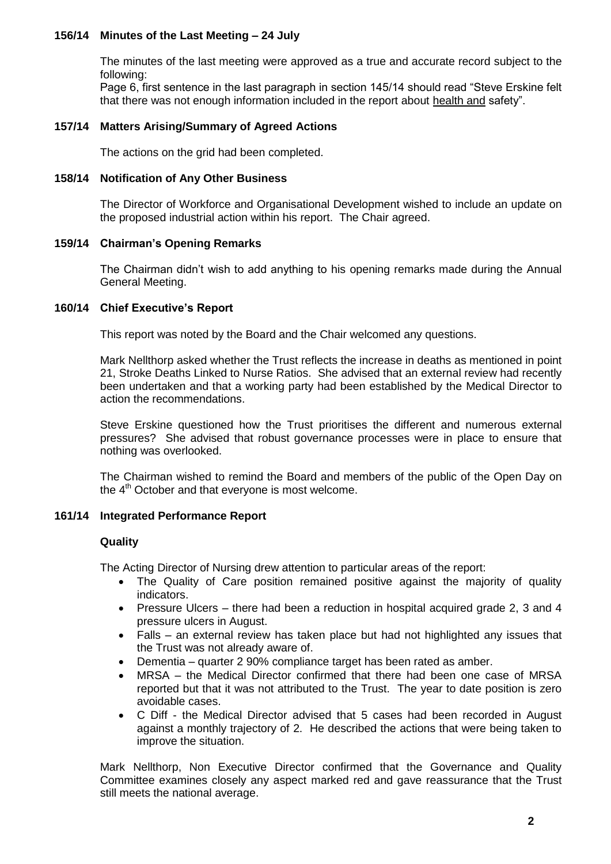# **156/14 Minutes of the Last Meeting – 24 July**

The minutes of the last meeting were approved as a true and accurate record subject to the following:

Page 6, first sentence in the last paragraph in section 145/14 should read "Steve Erskine felt that there was not enough information included in the report about health and safety".

#### **157/14 Matters Arising/Summary of Agreed Actions**

The actions on the grid had been completed.

#### **158/14 Notification of Any Other Business**

The Director of Workforce and Organisational Development wished to include an update on the proposed industrial action within his report. The Chair agreed.

#### **159/14 Chairman's Opening Remarks**

The Chairman didn't wish to add anything to his opening remarks made during the Annual General Meeting.

### **160/14 Chief Executive's Report**

This report was noted by the Board and the Chair welcomed any questions.

Mark Nellthorp asked whether the Trust reflects the increase in deaths as mentioned in point 21, Stroke Deaths Linked to Nurse Ratios. She advised that an external review had recently been undertaken and that a working party had been established by the Medical Director to action the recommendations.

Steve Erskine questioned how the Trust prioritises the different and numerous external pressures? She advised that robust governance processes were in place to ensure that nothing was overlooked.

The Chairman wished to remind the Board and members of the public of the Open Day on the 4<sup>th</sup> October and that everyone is most welcome.

### **161/14 Integrated Performance Report**

#### **Quality**

The Acting Director of Nursing drew attention to particular areas of the report:

- The Quality of Care position remained positive against the majority of quality indicators.
- Pressure Ulcers there had been a reduction in hospital acquired grade 2, 3 and 4 pressure ulcers in August.
- Falls an external review has taken place but had not highlighted any issues that the Trust was not already aware of.
- Dementia quarter 2 90% compliance target has been rated as amber.
- MRSA the Medical Director confirmed that there had been one case of MRSA reported but that it was not attributed to the Trust. The year to date position is zero avoidable cases.
- C Diff the Medical Director advised that 5 cases had been recorded in August against a monthly trajectory of 2. He described the actions that were being taken to improve the situation.

Mark Nellthorp, Non Executive Director confirmed that the Governance and Quality Committee examines closely any aspect marked red and gave reassurance that the Trust still meets the national average.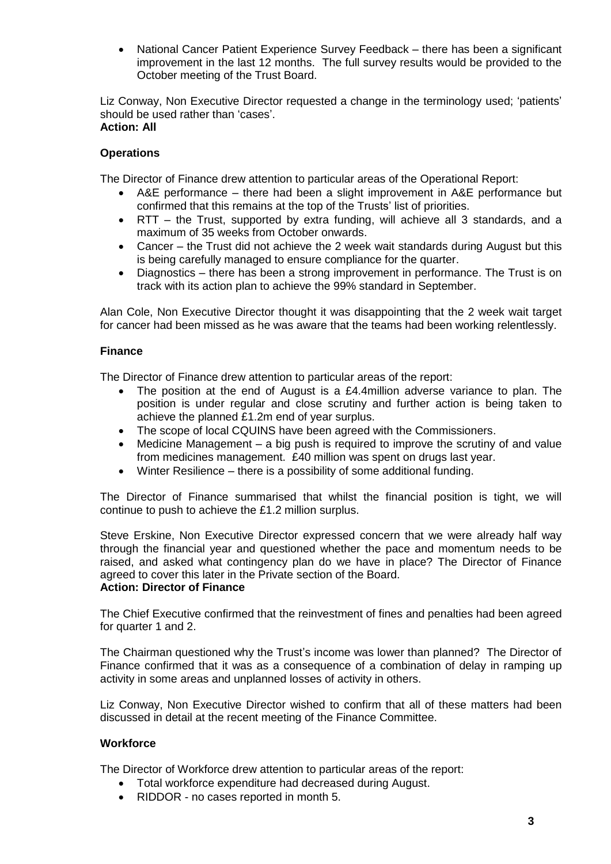National Cancer Patient Experience Survey Feedback – there has been a significant improvement in the last 12 months. The full survey results would be provided to the October meeting of the Trust Board.

Liz Conway, Non Executive Director requested a change in the terminology used; 'patients' should be used rather than 'cases'. **Action: All**

# **Operations**

The Director of Finance drew attention to particular areas of the Operational Report:

- A&E performance there had been a slight improvement in A&E performance but confirmed that this remains at the top of the Trusts' list of priorities.
- RTT the Trust, supported by extra funding, will achieve all 3 standards, and a maximum of 35 weeks from October onwards.
- Cancer the Trust did not achieve the 2 week wait standards during August but this is being carefully managed to ensure compliance for the quarter.
- Diagnostics there has been a strong improvement in performance. The Trust is on track with its action plan to achieve the 99% standard in September.

Alan Cole, Non Executive Director thought it was disappointing that the 2 week wait target for cancer had been missed as he was aware that the teams had been working relentlessly.

### **Finance**

The Director of Finance drew attention to particular areas of the report:

- The position at the end of August is a £4.4million adverse variance to plan. The position is under regular and close scrutiny and further action is being taken to achieve the planned £1.2m end of year surplus.
- The scope of local CQUINS have been agreed with the Commissioners.
- Medicine Management a big push is required to improve the scrutiny of and value from medicines management. £40 million was spent on drugs last year.
- Winter Resilience there is a possibility of some additional funding.

The Director of Finance summarised that whilst the financial position is tight, we will continue to push to achieve the £1.2 million surplus.

Steve Erskine, Non Executive Director expressed concern that we were already half way through the financial year and questioned whether the pace and momentum needs to be raised, and asked what contingency plan do we have in place? The Director of Finance agreed to cover this later in the Private section of the Board.

### **Action: Director of Finance**

The Chief Executive confirmed that the reinvestment of fines and penalties had been agreed for quarter 1 and 2.

The Chairman questioned why the Trust's income was lower than planned? The Director of Finance confirmed that it was as a consequence of a combination of delay in ramping up activity in some areas and unplanned losses of activity in others.

Liz Conway, Non Executive Director wished to confirm that all of these matters had been discussed in detail at the recent meeting of the Finance Committee.

### **Workforce**

The Director of Workforce drew attention to particular areas of the report:

- Total workforce expenditure had decreased during August.
- RIDDOR no cases reported in month 5.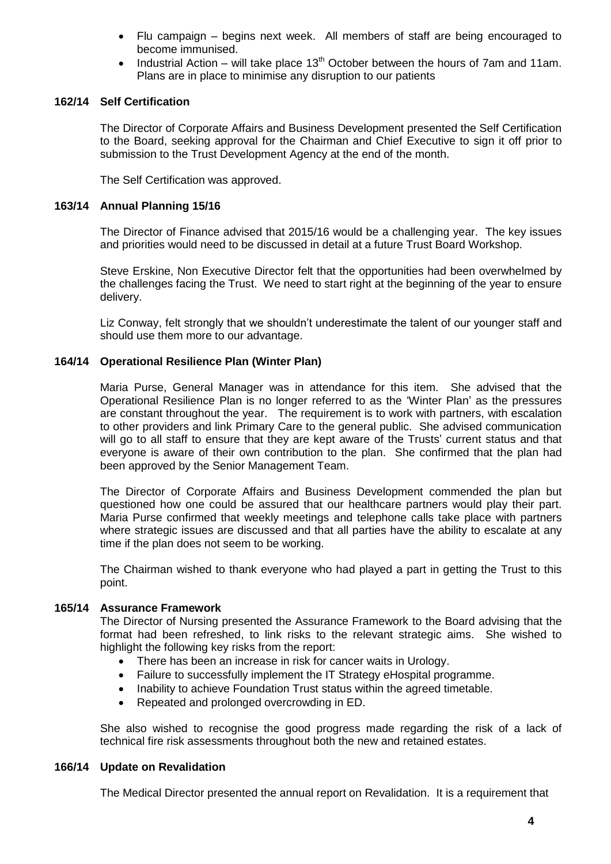- Flu campaign begins next week. All members of staff are being encouraged to become immunised.
- Industrial Action will take place  $13<sup>th</sup>$  October between the hours of 7am and 11am. Plans are in place to minimise any disruption to our patients

#### **162/14 Self Certification**

The Director of Corporate Affairs and Business Development presented the Self Certification to the Board, seeking approval for the Chairman and Chief Executive to sign it off prior to submission to the Trust Development Agency at the end of the month.

The Self Certification was approved.

#### **163/14 Annual Planning 15/16**

The Director of Finance advised that 2015/16 would be a challenging year. The key issues and priorities would need to be discussed in detail at a future Trust Board Workshop.

Steve Erskine, Non Executive Director felt that the opportunities had been overwhelmed by the challenges facing the Trust. We need to start right at the beginning of the year to ensure delivery.

Liz Conway, felt strongly that we shouldn't underestimate the talent of our younger staff and should use them more to our advantage.

#### **164/14 Operational Resilience Plan (Winter Plan)**

Maria Purse, General Manager was in attendance for this item. She advised that the Operational Resilience Plan is no longer referred to as the 'Winter Plan' as the pressures are constant throughout the year. The requirement is to work with partners, with escalation to other providers and link Primary Care to the general public. She advised communication will go to all staff to ensure that they are kept aware of the Trusts' current status and that everyone is aware of their own contribution to the plan. She confirmed that the plan had been approved by the Senior Management Team.

The Director of Corporate Affairs and Business Development commended the plan but questioned how one could be assured that our healthcare partners would play their part. Maria Purse confirmed that weekly meetings and telephone calls take place with partners where strategic issues are discussed and that all parties have the ability to escalate at any time if the plan does not seem to be working.

The Chairman wished to thank everyone who had played a part in getting the Trust to this point.

#### **165/14 Assurance Framework**

The Director of Nursing presented the Assurance Framework to the Board advising that the format had been refreshed, to link risks to the relevant strategic aims. She wished to highlight the following key risks from the report:

- There has been an increase in risk for cancer waits in Urology.
- Failure to successfully implement the IT Strategy eHospital programme.
- Inability to achieve Foundation Trust status within the agreed timetable.
- Repeated and prolonged overcrowding in ED.

She also wished to recognise the good progress made regarding the risk of a lack of technical fire risk assessments throughout both the new and retained estates.

#### **166/14 Update on Revalidation**

The Medical Director presented the annual report on Revalidation. It is a requirement that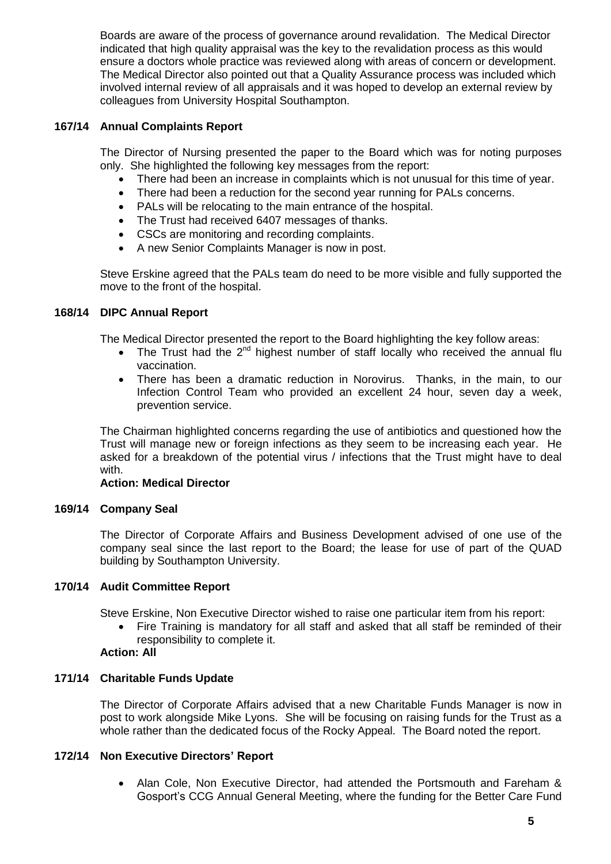Boards are aware of the process of governance around revalidation. The Medical Director indicated that high quality appraisal was the key to the revalidation process as this would ensure a doctors whole practice was reviewed along with areas of concern or development. The Medical Director also pointed out that a Quality Assurance process was included which involved internal review of all appraisals and it was hoped to develop an external review by colleagues from University Hospital Southampton.

# **167/14 Annual Complaints Report**

The Director of Nursing presented the paper to the Board which was for noting purposes only. She highlighted the following key messages from the report:

- There had been an increase in complaints which is not unusual for this time of year.
- There had been a reduction for the second year running for PALs concerns.
- PALs will be relocating to the main entrance of the hospital.
- The Trust had received 6407 messages of thanks.
- CSCs are monitoring and recording complaints.
- A new Senior Complaints Manager is now in post.

Steve Erskine agreed that the PALs team do need to be more visible and fully supported the move to the front of the hospital.

# **168/14 DIPC Annual Report**

The Medical Director presented the report to the Board highlighting the key follow areas:

- The Trust had the  $2^{nd}$  highest number of staff locally who received the annual flu vaccination.
- There has been a dramatic reduction in Norovirus. Thanks, in the main, to our Infection Control Team who provided an excellent 24 hour, seven day a week, prevention service.

The Chairman highlighted concerns regarding the use of antibiotics and questioned how the Trust will manage new or foreign infections as they seem to be increasing each year. He asked for a breakdown of the potential virus / infections that the Trust might have to deal with.

### **Action: Medical Director**

### **169/14 Company Seal**

The Director of Corporate Affairs and Business Development advised of one use of the company seal since the last report to the Board; the lease for use of part of the QUAD building by Southampton University.

### **170/14 Audit Committee Report**

Steve Erskine, Non Executive Director wished to raise one particular item from his report:

- Fire Training is mandatory for all staff and asked that all staff be reminded of their responsibility to complete it.
- **Action: All**

### **171/14 Charitable Funds Update**

The Director of Corporate Affairs advised that a new Charitable Funds Manager is now in post to work alongside Mike Lyons. She will be focusing on raising funds for the Trust as a whole rather than the dedicated focus of the Rocky Appeal. The Board noted the report.

### **172/14 Non Executive Directors' Report**

 Alan Cole, Non Executive Director, had attended the Portsmouth and Fareham & Gosport's CCG Annual General Meeting, where the funding for the Better Care Fund